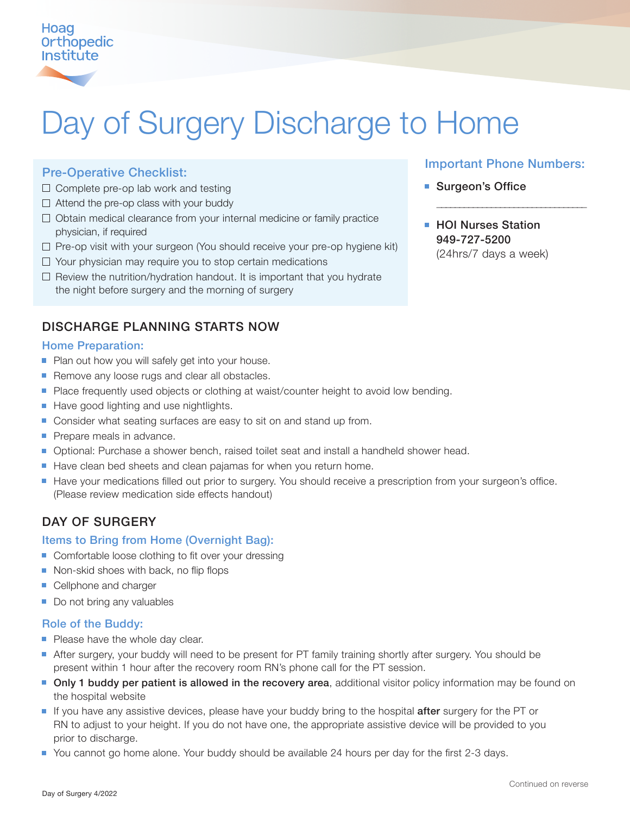# Hoag **Orthopedic Institute**

# Day of Surgery Discharge to Home

## Pre-Operative Checklist:

- $\Box$  Complete pre-op lab work and testing
- $\Box$  Attend the pre-op class with your buddy
- $\Box$  Obtain medical clearance from your internal medicine or family practice physician, if required
- $\Box$  Pre-op visit with your surgeon (You should receive your pre-op hygiene kit)
- $\Box$  Your physician may require you to stop certain medications
- $\Box$  Review the nutrition/hydration handout. It is important that you hydrate the night before surgery and the morning of surgery

# DISCHARGE PLANNING STARTS NOW

## Home Preparation:

- **Plan out how you will safely get into your house.**
- Remove any loose rugs and clear all obstacles.
- Place frequently used objects or clothing at waist/counter height to avoid low bending.
- Have good lighting and use nightlights.
- Consider what seating surfaces are easy to sit on and stand up from.
- Prepare meals in advance.
- **Demonal:** Purchase a shower bench, raised toilet seat and install a handheld shower head.
- Have clean bed sheets and clean pajamas for when you return home.
- Have your medications filled out prior to surgery. You should receive a prescription from your surgeon's office. (Please review medication side effects handout)

# DAY OF SURGERY

### Items to Bring from Home (Overnight Bag):

- Comfortable loose clothing to fit over your dressing
- Non-skid shoes with back, no flip flops
- Cellphone and charger
- Do not bring any valuables

### Role of the Buddy:

- Please have the whole day clear.
- After surgery, your buddy will need to be present for PT family training shortly after surgery. You should be present within 1 hour after the recovery room RN's phone call for the PT session.
- **Only 1 buddy per patient is allowed in the recovery area**, additional visitor policy information may be found on the hospital website
- If you have any assistive devices, please have your buddy bring to the hospital **after** surgery for the PT or RN to adjust to your height. If you do not have one, the appropriate assistive device will be provided to you prior to discharge.
- You cannot go home alone. Your buddy should be available 24 hours per day for the first 2-3 days.

## Important Phone Numbers:

\_\_\_\_\_\_\_\_\_\_\_\_\_\_\_\_\_\_\_\_\_\_\_\_\_\_\_\_\_\_\_\_\_

- Surgeon's Office
- **HOI Nurses Station** 949-727-5200 (24hrs/7 days a week)